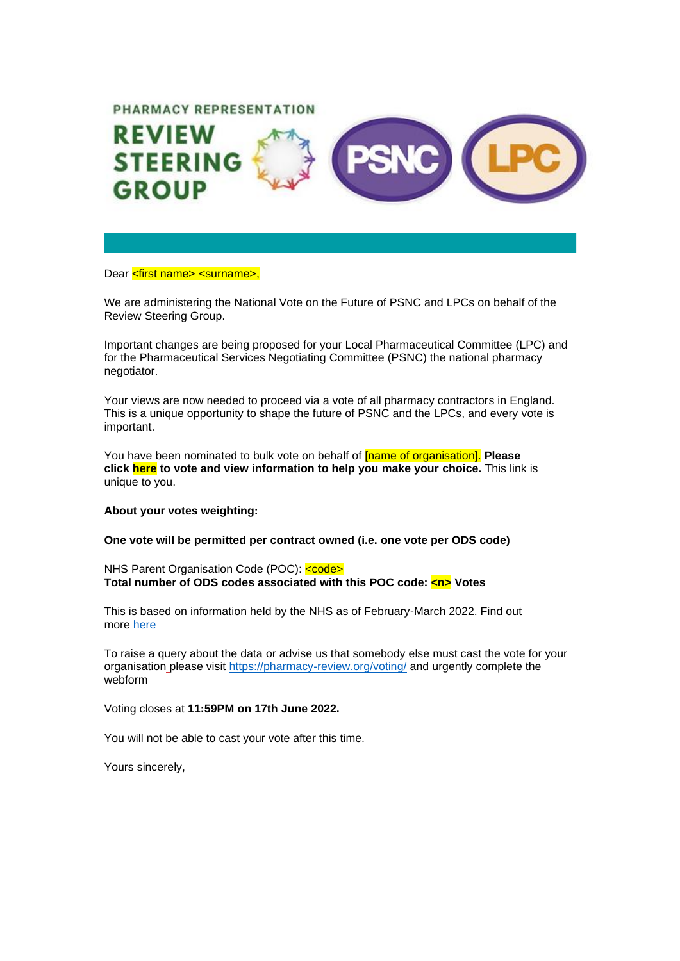## PHARMACY REPRESENTATION



## Dear <first name> <surname>.

We are administering the National Vote on the Future of PSNC and LPCs on behalf of the Review Steering Group.

Important changes are being proposed for your Local Pharmaceutical Committee (LPC) and for the Pharmaceutical Services Negotiating Committee (PSNC) the national pharmacy negotiator.

Your views are now needed to proceed via a vote of all pharmacy contractors in England. This is a unique opportunity to shape the future of PSNC and the LPCs, and every vote is important.

You have been nominated to bulk vote on behalf of [name of organisation]. **Please click here to vote and view information to help you make your choice.** This link is unique to you.

## **About your votes weighting:**

**One vote will be permitted per contract owned (i.e. one vote per ODS code)**

NHS Parent Organisation Code (POC): <code></sup> **Total number of ODS codes associated with this POC code: <n> Votes**

This is based on information held by the NHS as of February-March 2022. Find out more [here](https://psnc.org.uk/contract-it/pharmacy-it/standards-and-interoperability-it/nhs-parent-organisation-code-poc/)

To raise a query about the data or advise us that somebody else must cast the vote for your organisation please visit <https://pharmacy-review.org/voting/> and urgently complete the webform

Voting closes at **11:59PM on 17th June 2022.**

You will not be able to cast your vote after this time.

Yours sincerely,